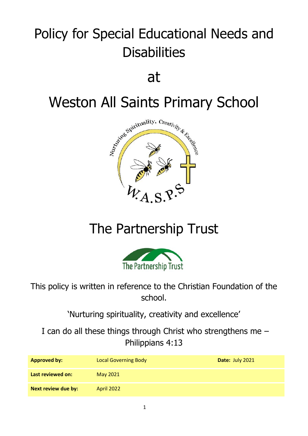# Policy for Special Educational Needs and **Disabilities**

at



## The Partnership Trust



This policy is written in reference to the Christian Foundation of the school.

'Nurturing spirituality, creativity and excellence'

I can do all these things through Christ who strengthens me – Philippians 4:13

| <b>Approved by:</b> | <b>Local Governing Body</b> | Date: July 2021 |
|---------------------|-----------------------------|-----------------|
| Last reviewed on:   | May 2021                    |                 |
| Next review due by: | <b>April 2022</b>           |                 |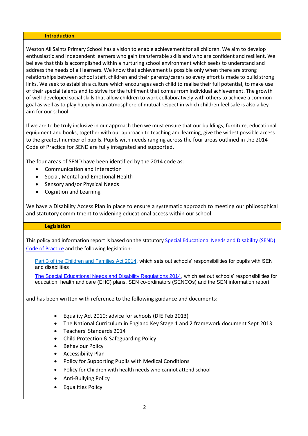#### **Introduction**

Weston All Saints Primary School has a vision to enable achievement for all children. We aim to develop enthusiastic and independent learners who gain transferrable skills and who are confident and resilient. We believe that this is accomplished within a nurturing school environment which seeks to understand and address the needs of all learners. We know that achievement is possible only when there are strong relationships between school staff, children and their parents/carers so every effort is made to build strong links. We seek to establish a culture which encourages each child to realise their full potential, to make use of their special talents and to strive for the fulfilment that comes from individual achievement. The growth of well-developed social skills that allow children to work collaboratively with others to achieve a common goal as well as to play happily in an atmosphere of mutual respect in which children feel safe is also a key aim for our school.

If we are to be truly inclusive in our approach then we must ensure that our buildings, furniture, educational equipment and books, together with our approach to teaching and learning, give the widest possible access to the greatest number of pupils. Pupils with needs ranging across the four areas outlined in the 2014 Code of Practice for SEND are fully integrated and supported.

The four areas of SEND have been identified by the 2014 code as:

- Communication and Interaction
- Social, Mental and Emotional Health
- Sensory and/or Physical Needs
- Cognition and Learning

We have a Disability Access Plan in place to ensure a systematic approach to meeting our philosophical and statutory commitment to widening educational access within our school.

#### **Legislation**

This policy and information report is based on the statutory Special Educational Needs and Disability (SEND) [Code of Practice](https://www.gov.uk/government/uploads/system/uploads/attachment_data/file/398815/SEND_Code_of_Practice_January_2015.pdf) and the following legislation:

[Part 3 of the Children and Families Act 2014,](http://www.legislation.gov.uk/ukpga/2014/6/part/3) which sets out schools' responsibilities for pupils with SEN and disabilities

[The Special Educational Needs and Disability Regulations 2014,](http://www.legislation.gov.uk/uksi/2014/1530/contents/made) which set out schools' responsibilities for education, health and care (EHC) plans, SEN co-ordinators (SENCOs) and the SEN information report

and has been written with reference to the following guidance and documents:

- Equality Act 2010: advice for schools (DfE Feb 2013)
- The National Curriculum in England Key Stage 1 and 2 framework document Sept 2013
- Teachers' Standards 2014
- Child Protection & Safeguarding Policy
- Behaviour Policy
- Accessibility Plan
- Policy for Supporting Pupils with Medical Conditions
- Policy for Children with health needs who cannot attend school
- Anti-Bullying Policy
- Equalities Policy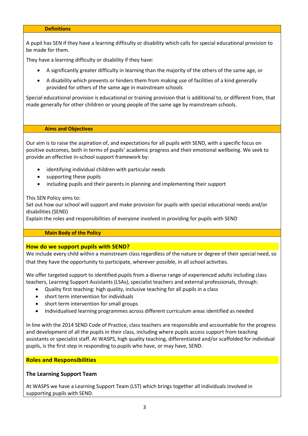#### **Definitions**

A pupil has SEN if they have a learning difficulty or disability which calls for special educational provision to be made for them.

They have a learning difficulty or disability if they have:

- A significantly greater difficulty in learning than the majority of the others of the same age, or
- A disability which prevents or hinders them from making use of facilities of a kind generally provided for others of the same age in mainstream schools

Special educational provision is educational or training provision that is additional to, or different from, that made generally for other children or young people of the same age by mainstream schools.

#### **Aims and Objectives**

Our aim is to raise the aspiration of, and expectations for all pupils with SEND, with a specific focus on positive outcomes, both in terms of pupils' academic progress and their emotional wellbeing. We seek to provide an effective in-school support framework by:

- identifying individual children with particular needs
- supporting these pupils
- including pupils and their parents in planning and implementing their support

This SEN Policy aims to:

Set out how our school will support and make provision for pupils with special educational needs and/or disabilities (SEND)

Explain the roles and responsibilities of everyone involved in providing for pupils with SEND

#### **Main Body of the Policy**

#### **How do we support pupils with SEND?**

We include every child within a mainstream class regardless of the nature or degree of their special need, so that they have the opportunity to participate, wherever possible, in all school activities.

We offer targeted support to identified pupils from a diverse range of experienced adults including class teachers, Learning Support Assistants (LSAs), specialist teachers and external professionals, through:

- Quality first teaching: high quality, inclusive teaching for all pupils in a class
- short term intervention for individuals
- short term intervention for small groups
- Individualised learning programmes across different curriculum areas identified as needed

In line with the 2014 SEND Code of Practice, class teachers are responsible and accountable for the progress and development of all the pupils in their class, including where pupils access support from teaching assistants or specialist staff. At WASPS, high quality teaching, differentiated and/or scaffolded for individual pupils, is the first step in responding to pupils who have, or may have, SEND.

#### **Roles and Responsibilities**

#### **The Learning Support Team**

At WASPS we have a Learning Support Team (LST) which brings together all individuals involved in supporting pupils with SEND.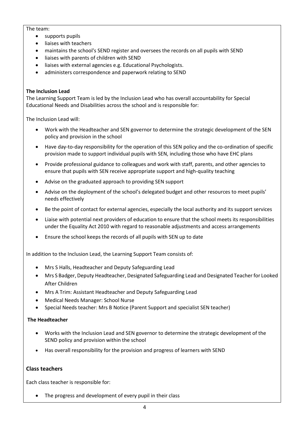#### The team:

- supports pupils
- liaises with teachers
- maintains the school's SEND register and oversees the records on all pupils with SEND
- liaises with parents of children with SEND
- liaises with external agencies e.g. Educational Psychologists.
- administers correspondence and paperwork relating to SEND

#### **The Inclusion Lead**

The Learning Support Team is led by the Inclusion Lead who has overall accountability for Special Educational Needs and Disabilities across the school and is responsible for:

The Inclusion Lead will:

- Work with the Headteacher and SEN governor to determine the strategic development of the SEN policy and provision in the school
- Have day-to-day responsibility for the operation of this SEN policy and the co-ordination of specific provision made to support individual pupils with SEN, including those who have EHC plans
- Provide professional guidance to colleagues and work with staff, parents, and other agencies to ensure that pupils with SEN receive appropriate support and high-quality teaching
- Advise on the graduated approach to providing SEN support
- Advise on the deployment of the school's delegated budget and other resources to meet pupils' needs effectively
- Be the point of contact for external agencies, especially the local authority and its support services
- Liaise with potential next providers of education to ensure that the school meets its responsibilities under the Equality Act 2010 with regard to reasonable adjustments and access arrangements
- Ensure the school keeps the records of all pupils with SEN up to date

In addition to the Inclusion Lead, the Learning Support Team consists of:

- Mrs S Halls, Headteacher and Deputy Safeguarding Lead
- Mrs S Badger, Deputy Headteacher, Designated Safeguarding Lead and Designated Teacher for Looked After Children
- Mrs A Trim: Assistant Headteacher and Deputy Safeguarding Lead
- Medical Needs Manager: School Nurse
- Special Needs teacher: Mrs B Notice (Parent Support and specialist SEN teacher)

#### **The Headteacher**

- Works with the Inclusion Lead and SEN governor to determine the strategic development of the SEND policy and provision within the school
- Has overall responsibility for the provision and progress of learners with SEND

#### **Class teachers**

Each class teacher is responsible for:

• The progress and development of every pupil in their class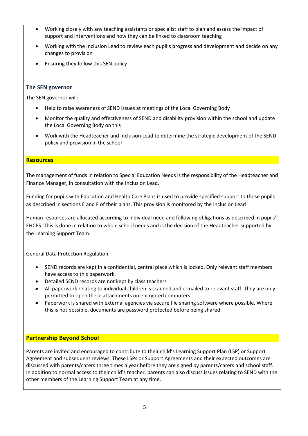- Working closely with any teaching assistants or specialist staff to plan and assess the impact of support and interventions and how they can be linked to classroom teaching
- Working with the Inclusion Lead to review each pupil's progress and development and decide on any changes to provision
- Ensuring they follow this SEN policy

## **The SEN governor**

The SEN governor will:

- Help to raise awareness of SEND issues at meetings of the Local Governing Body
- Monitor the quality and effectiveness of SEND and disability provision within the school and update the Local Governing Body on this
- Work with the Headteacher and Inclusion Lead to determine the strategic development of the SEND policy and provision in the school

#### **Resources**

The management of funds in relation to Special Education Needs is the responsibility of the Headteacher and Finance Manager, in consultation with the Inclusion Lead.

Funding for pupils with Education and Health Care Plans is used to provide specified support to those pupils as described in sections E and F of their plans. This provision is monitored by the Inclusion Lead

Human resources are allocated according to individual need and following obligations as described in pupils' EHCPS. This is done in relation to whole school needs and is the decision of the Headteacher supported by the Learning Support Team.

General Data Protection Regulation

- SEND records are kept in a confidential, central place which is locked. Only relevant staff members have access to this paperwork.
- Detailed SEND records are not kept by class teachers
- All paperwork relating to individual children is scanned and e-mailed to relevant staff. They are only permitted to open these attachments on encrypted computers
- Paperwork is shared with external agencies via secure file sharing software where possible. Where this is not possible, documents are password protected before being shared

## **Partnership Beyond School**

Parents are invited and encouraged to contribute to their child's Learning Support Plan (LSP) or Support Agreement and subsequent reviews. These LSPs or Support Agreements and their expected outcomes are discussed with parents/carers three times a year before they are signed by parents/carers and school staff. In addition to normal access to their child's teacher, parents can also discuss issues relating to SEND with the other members of the Learning Support Team at any time.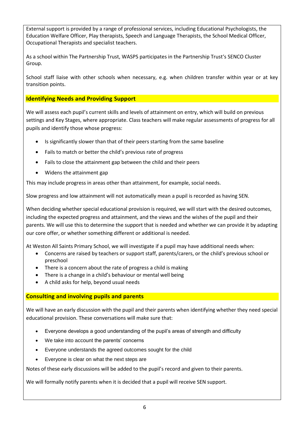External support is provided by a range of professional services, including Educational Psychologists, the Education Welfare Officer, Play therapists, Speech and Language Therapists, the School Medical Officer, Occupational Therapists and specialist teachers.

As a school within The Partnership Trust, WASPS participates in the Partnership Trust's SENCO Cluster Group.

School staff liaise with other schools when necessary, e.g. when children transfer within year or at key transition points.

**Identifying Needs and Providing Support**

We will assess each pupil's current skills and levels of attainment on entry, which will build on previous settings and Key Stages, where appropriate. Class teachers will make regular assessments of progress for all pupils and identify those whose progress:

- Is significantly slower than that of their peers starting from the same baseline
- Fails to match or better the child's previous rate of progress
- Fails to close the attainment gap between the child and their peers
- Widens the attainment gap

This may include progress in areas other than attainment, for example, social needs.

Slow progress and low attainment will not automatically mean a pupil is recorded as having SEN.

When deciding whether special educational provision is required, we will start with the desired outcomes, including the expected progress and attainment, and the views and the wishes of the pupil and their parents. We will use this to determine the support that is needed and whether we can provide it by adapting our core offer, or whether something different or additional is needed.

At Weston All Saints Primary School, we will investigate if a pupil may have additional needs when:

- Concerns are raised by teachers or support staff, parents/carers, or the child's previous school or preschool
- There is a concern about the rate of progress a child is making
- There is a change in a child's behaviour or mental well being
- A child asks for help, beyond usual needs

## **Consulting and involving pupils and parents**

We will have an early discussion with the pupil and their parents when identifying whether they need special educational provision. These conversations will make sure that:

- Everyone develops a good understanding of the pupil's areas of strength and difficulty
- We take into account the parents' concerns
- Everyone understands the agreed outcomes sought for the child
- Everyone is clear on what the next steps are

Notes of these early discussions will be added to the pupil's record and given to their parents.

We will formally notify parents when it is decided that a pupil will receive SEN support.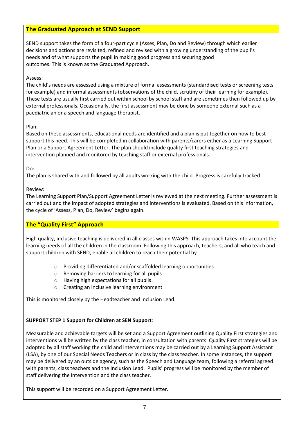## **The Graduated Approach at SEND Support**

SEND support takes the form of a four-part cycle (Asses, Plan, Do and Review) through which earlier decisions and actions are revisited, refined and revised with a growing understanding of the pupil's needs and of what supports the pupil in making good progress and securing good outcomes. This is known as the Graduated Approach.

### Assess:

The child's needs are assessed using a mixture of formal assessments (standardised tests or screening tests for example) and informal assessments (observations of the child, scrutiny of their learning for example). These tests are usually first carried out within school by school staff and are sometimes then followed up by external professionals. Occasionally, the first assessment may be done by someone external such as a paediatrician or a speech and language therapist.

## Plan:

Based on these assessments, educational needs are identified and a plan is put together on how to best support this need. This will be completed in collaboration with parents/carers either as a Learning Support Plan or a Support Agreement Letter. The plan should include quality first teaching strategies and intervention planned and monitored by teaching staff or external professionals.

## Do:

The plan is shared with and followed by all adults working with the child. Progress is carefully tracked.

## Review:

The Learning Support Plan/Support Agreement Letter is reviewed at the next meeting. Further assessment is carried out and the impact of adopted strategies and interventions is evaluated. Based on this information, the cycle of 'Assess, Plan, Do, Review' begins again.

## **The "Quality First" Approach**

High quality, inclusive teaching is delivered in all classes within WASPS. This approach takes into account the learning needs of all the children in the classroom. Following this approach, teachers, and all who teach and support children with SEND, enable all children to reach their potential by

- o Providing differentiated and/or scaffolded learning opportunities
- o Removing barriers to learning for all pupils
- o Having high expectations for all pupils
- o Creating an inclusive learning environment

This is monitored closely by the Headteacher and Inclusion Lead.

## **SUPPORT STEP 1 Support for Children at SEN Support**:

Measurable and achievable targets will be set and a Support Agreement outlining Quality First strategies and interventions will be written by the class teacher, in consultation with parents. Quality First strategies will be adopted by all staff working the child and interventions may be carried out by a Learning Support Assistant (LSA), by one of our Special Needs Teachers or in class by the class teacher. In some instances, the support may be delivered by an outside agency, such as the Speech and Language team, following a referral agreed with parents, class teachers and the Inclusion Lead. Pupils' progress will be monitored by the member of staff delivering the intervention and the class teacher.

This support will be recorded on a Support Agreement Letter.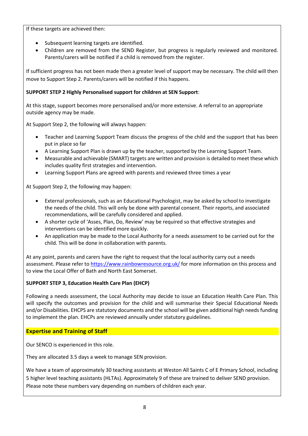If these targets are achieved then:

- Subsequent learning targets are identified.
- Children are removed from the SEND Register, but progress is regularly reviewed and monitored. Parents/carers will be notified if a child is removed from the register.

If sufficient progress has not been made then a greater level of support may be necessary. The child will then move to Support Step 2. Parents/carers will be notified if this happens.

## **SUPPORT STEP 2 Highly Personalised support for children at SEN Support**:

At this stage, support becomes more personalised and/or more extensive. A referral to an appropriate outside agency may be made.

At Support Step 2, the following will always happen:

- Teacher and Learning Support Team discuss the progress of the child and the support that has been put in place so far
- A Learning Support Plan is drawn up by the teacher, supported by the Learning Support Team.
- Measurable and achievable (SMART) targets are written and provision is detailed to meet these which includes quality first strategies and intervention.
- Learning Support Plans are agreed with parents and reviewed three times a year

At Support Step 2, the following may happen:

- External professionals, such as an Educational Psychologist, may be asked by school to investigate the needs of the child. This will only be done with parental consent. Their reports, and associated recommendations, will be carefully considered and applied.
- A shorter cycle of 'Asses, Plan, Do, Review' may be required so that effective strategies and interventions can be identified more quickly.
- An application may be made to the Local Authority for a needs assessment to be carried out for the child. This will be done in collaboration with parents.

At any point, parents and carers have the right to request that the local authority carry out a needs assessment. Please refer to<https://www.rainbowresource.org.uk/> for more information on this process and to view the Local Offer of Bath and North East Somerset.

#### **SUPPORT STEP 3, Education Health Care Plan (EHCP)**

Following a needs assessment, the Local Authority may decide to issue an Education Health Care Plan. This will specify the outcomes and provision for the child and will summarise their Special Educational Needs and/or Disabilities. EHCPS are statutory documents and the school will be given additional high needs funding to implement the plan. EHCPs are reviewed annually under statutory guidelines.

## **Expertise and Training of Staff**

Our SENCO is experienced in this role.

They are allocated 3.5 days a week to manage SEN provision.

We have a team of approximately 30 teaching assistants at Weston All Saints C of E Primary School, including 5 higher level teaching assistants (HLTAs). Approximately 9 of these are trained to deliver SEND provision. Please note these numbers vary depending on numbers of children each year.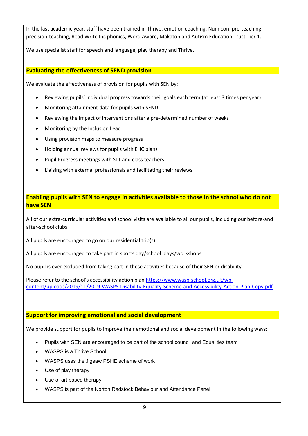In the last academic year, staff have been trained in Thrive, emotion coaching, Numicon, pre-teaching, precision-teaching, Read Write Inc phonics, Word Aware, Makaton and Autism Education Trust Tier 1.

We use specialist staff for speech and language, play therapy and Thrive.

## **Evaluating the effectiveness of SEND provision**

We evaluate the effectiveness of provision for pupils with SEN by:

- Reviewing pupils' individual progress towards their goals each term (at least 3 times per year)
- Monitoring attainment data for pupils with SEND
- Reviewing the impact of interventions after a pre-determined number of weeks
- Monitoring by the Inclusion Lead
- Using provision maps to measure progress
- Holding annual reviews for pupils with EHC plans
- Pupil Progress meetings with SLT and class teachers
- Liaising with external professionals and facilitating their reviews

## **Enabling pupils with SEN to engage in activities available to those in the school who do not have SEN**

All of our extra-curricular activities and school visits are available to all our pupils, including our before-and after-school clubs.

All pupils are encouraged to go on our residential trip(s)

All pupils are encouraged to take part in sports day/school plays/workshops.

No pupil is ever excluded from taking part in these activities because of their SEN or disability.

Please refer to the school's accessibility action plan [https://www.wasp-school.org.uk/wp](https://www.wasp-school.org.uk/wp-content/uploads/2019/11/2019-WASPS-Disability-Equality-Scheme-and-Accessibility-Action-Plan-Copy.pdf)[content/uploads/2019/11/2019-WASPS-Disability-Equality-Scheme-and-Accessibility-Action-Plan-Copy.pdf](https://www.wasp-school.org.uk/wp-content/uploads/2019/11/2019-WASPS-Disability-Equality-Scheme-and-Accessibility-Action-Plan-Copy.pdf)

## **Support for improving emotional and social development**

We provide support for pupils to improve their emotional and social development in the following ways:

- Pupils with SEN are encouraged to be part of the school council and Equalities team
- WASPS is a Thrive School.
- WASPS uses the Jigsaw PSHE scheme of work
- Use of play therapy
- Use of art based therapy
- WASPS is part of the Norton Radstock Behaviour and Attendance Panel